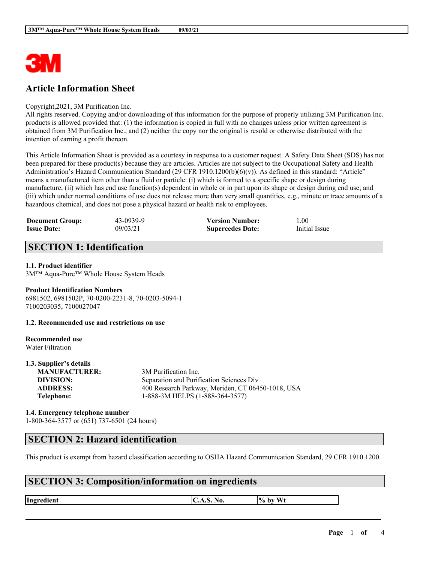

# **Article Information Sheet**

Copyright,2021, 3M Purification Inc.

All rights reserved. Copying and/or downloading of this information for the purpose of properly utilizing 3M Purification Inc. products is allowed provided that: (1) the information is copied in full with no changes unless prior written agreement is obtained from 3M Purification Inc., and (2) neither the copy nor the original is resold or otherwise distributed with the intention of earning a profit thereon.

This Article Information Sheet is provided as a courtesy in response to a customer request. A Safety Data Sheet (SDS) has not been prepared for these product(s) because they are articles. Articles are not subject to the Occupational Safety and Health Administration's Hazard Communication Standard (29 CFR 1910.1200(b)(6)(v)). As defined in this standard: "Article" means a manufactured item other than a fluid or particle: (i) which is formed to a specific shape or design during manufacture; (ii) which has end use function(s) dependent in whole or in part upon its shape or design during end use; and (iii) which under normal conditions of use does not release more than very small quantities, e.g., minute or trace amounts of a hazardous chemical, and does not pose a physical hazard or health risk to employees.

| <b>Document Group:</b> | 43-0939-9 | <b>Version Number:</b>  | .00           |
|------------------------|-----------|-------------------------|---------------|
| <b>Issue Date:</b>     | 09/03/21  | <b>Supercedes Date:</b> | Initial Issue |

# **SECTION 1: Identification**

**1.1. Product identifier**

3M™ Aqua-Pure™ Whole House System Heads

**Product Identification Numbers** 6981502, 6981502P, 70-0200-2231-8, 70-0203-5094-1 7100203035, 7100027047

**1.2. Recommended use and restrictions on use**

**Recommended use** Water Filtration

**1.3. Supplier's details**

| $1.0$ . $\sigma$ upplici $\sigma$ actums |                                                   |
|------------------------------------------|---------------------------------------------------|
| <b>MANUFACTURER:</b>                     | 3M Purification Inc.                              |
| DIVISION:                                | Separation and Purification Sciences Div          |
| <b>ADDRESS:</b>                          | 400 Research Parkway, Meriden, CT 06450-1018, USA |
| Telephone:                               | 1-888-3M HELPS (1-888-364-3577)                   |
|                                          |                                                   |

**1.4. Emergency telephone number** 1-800-364-3577 or (651) 737-6501 (24 hours)

### **SECTION 2: Hazard identification**

This product is exempt from hazard classification according to OSHA Hazard Communication Standard, 29 CFR 1910.1200.

 $\mathcal{L}_\mathcal{L} = \mathcal{L}_\mathcal{L} = \mathcal{L}_\mathcal{L} = \mathcal{L}_\mathcal{L} = \mathcal{L}_\mathcal{L} = \mathcal{L}_\mathcal{L} = \mathcal{L}_\mathcal{L} = \mathcal{L}_\mathcal{L} = \mathcal{L}_\mathcal{L} = \mathcal{L}_\mathcal{L} = \mathcal{L}_\mathcal{L} = \mathcal{L}_\mathcal{L} = \mathcal{L}_\mathcal{L} = \mathcal{L}_\mathcal{L} = \mathcal{L}_\mathcal{L} = \mathcal{L}_\mathcal{L} = \mathcal{L}_\mathcal{L}$ 

# **SECTION 3: Composition/information on ingredients**

**Ingredient**  $\begin{bmatrix} C.A.S. No. \end{bmatrix}$  **by** Wt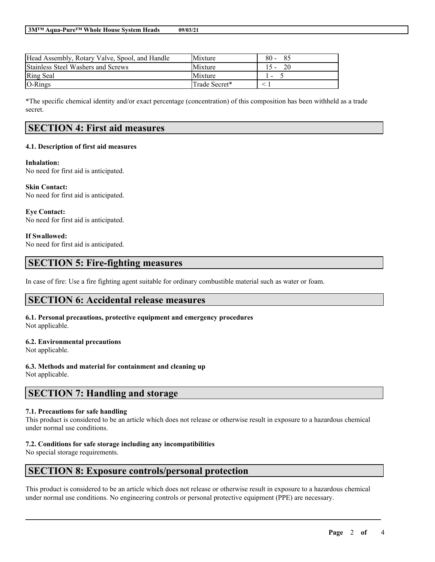| Head Assembly, Rotary Valve, Spool, and Handle | Mixture       | $80 -$<br>-85 |
|------------------------------------------------|---------------|---------------|
| Stainless Steel Washers and Screws             | Mixture       | 20<br>$15 -$  |
| <b>Ring Seal</b>                               | Mixture       |               |
| $O-Rings$                                      | Trade Secret* |               |

\*The specific chemical identity and/or exact percentage (concentration) of this composition has been withheld as a trade secret.

## **SECTION 4: First aid measures**

#### **4.1. Description of first aid measures**

#### **Inhalation:**

No need for first aid is anticipated.

**Skin Contact:** No need for first aid is anticipated.

**Eye Contact:** No need for first aid is anticipated.

#### **If Swallowed:**

No need for first aid is anticipated.

### **SECTION 5: Fire-fighting measures**

In case of fire: Use a fire fighting agent suitable for ordinary combustible material such as water or foam.

### **SECTION 6: Accidental release measures**

**6.1. Personal precautions, protective equipment and emergency procedures** Not applicable.

#### **6.2. Environmental precautions**

Not applicable.

**6.3. Methods and material for containment and cleaning up** Not applicable.

## **SECTION 7: Handling and storage**

#### **7.1. Precautions for safe handling**

This product is considered to be an article which does not release or otherwise result in exposure to a hazardous chemical under normal use conditions.

#### **7.2. Conditions for safe storage including any incompatibilities**

No special storage requirements.

### **SECTION 8: Exposure controls/personal protection**

This product is considered to be an article which does not release or otherwise result in exposure to a hazardous chemical under normal use conditions. No engineering controls or personal protective equipment (PPE) are necessary.

 $\mathcal{L}_\mathcal{L} = \mathcal{L}_\mathcal{L} = \mathcal{L}_\mathcal{L} = \mathcal{L}_\mathcal{L} = \mathcal{L}_\mathcal{L} = \mathcal{L}_\mathcal{L} = \mathcal{L}_\mathcal{L} = \mathcal{L}_\mathcal{L} = \mathcal{L}_\mathcal{L} = \mathcal{L}_\mathcal{L} = \mathcal{L}_\mathcal{L} = \mathcal{L}_\mathcal{L} = \mathcal{L}_\mathcal{L} = \mathcal{L}_\mathcal{L} = \mathcal{L}_\mathcal{L} = \mathcal{L}_\mathcal{L} = \mathcal{L}_\mathcal{L}$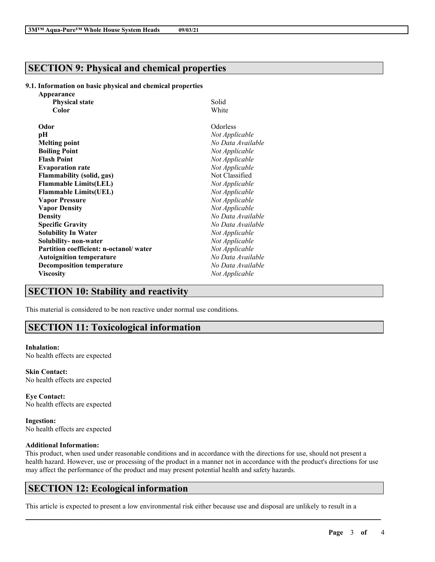# **SECTION 9: Physical and chemical properties**

### **9.1. Information on basic physical and chemical properties**

| Appearance                             |                   |
|----------------------------------------|-------------------|
| <b>Physical state</b>                  | Solid             |
| Color                                  | White             |
| Odor                                   | Odorless          |
| pН                                     | Not Applicable    |
| <b>Melting point</b>                   | No Data Available |
| <b>Boiling Point</b>                   | Not Applicable    |
| <b>Flash Point</b>                     | Not Applicable    |
| <b>Evaporation rate</b>                | Not Applicable    |
| <b>Flammability (solid, gas)</b>       | Not Classified    |
| <b>Flammable Limits(LEL)</b>           | Not Applicable    |
| <b>Flammable Limits(UEL)</b>           | Not Applicable    |
| <b>Vapor Pressure</b>                  | Not Applicable    |
| <b>Vapor Density</b>                   | Not Applicable    |
| <b>Density</b>                         | No Data Available |
| <b>Specific Gravity</b>                | No Data Available |
| <b>Solubility In Water</b>             | Not Applicable    |
| Solubility- non-water                  | Not Applicable    |
| Partition coefficient: n-octanol/water | Not Applicable    |
| <b>Autoignition temperature</b>        | No Data Available |
| <b>Decomposition temperature</b>       | No Data Available |
| <b>Viscosity</b>                       | Not Applicable    |

# **SECTION 10: Stability and reactivity**

This material is considered to be non reactive under normal use conditions.

# **SECTION 11: Toxicological information**

**Inhalation:** No health effects are expected

**Skin Contact:** No health effects are expected

**Eye Contact:** No health effects are expected

**Ingestion:** No health effects are expected

### **Additional Information:**

This product, when used under reasonable conditions and in accordance with the directions for use, should not present a health hazard. However, use or processing of the product in a manner not in accordance with the product's directions for use may affect the performance of the product and may present potential health and safety hazards.

 $\mathcal{L}_\mathcal{L} = \mathcal{L}_\mathcal{L} = \mathcal{L}_\mathcal{L} = \mathcal{L}_\mathcal{L} = \mathcal{L}_\mathcal{L} = \mathcal{L}_\mathcal{L} = \mathcal{L}_\mathcal{L} = \mathcal{L}_\mathcal{L} = \mathcal{L}_\mathcal{L} = \mathcal{L}_\mathcal{L} = \mathcal{L}_\mathcal{L} = \mathcal{L}_\mathcal{L} = \mathcal{L}_\mathcal{L} = \mathcal{L}_\mathcal{L} = \mathcal{L}_\mathcal{L} = \mathcal{L}_\mathcal{L} = \mathcal{L}_\mathcal{L}$ 

# **SECTION 12: Ecological information**

This article is expected to present a low environmental risk either because use and disposal are unlikely to result in a